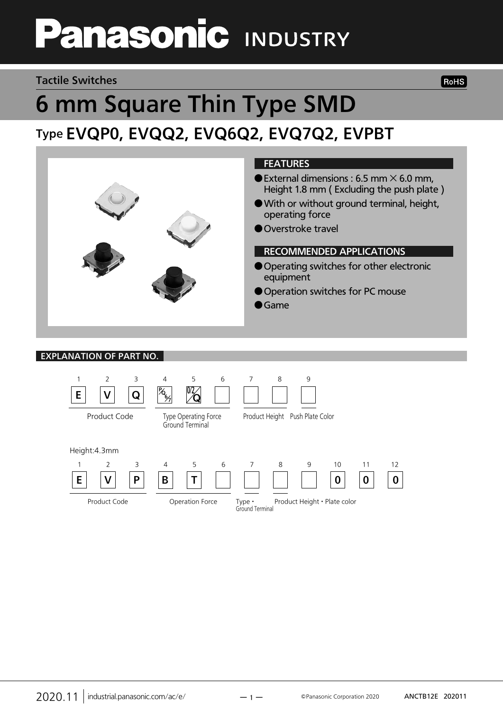# **Panasonic INDUSTRY**

### Tactile Switches

# 6 mm Square Thin Type SMD Type EVQP0, EVQQ2, EVQ6Q2, EVQ7Q2, EVPBT



### EXPLANATION OF PART NO.



**RoHS**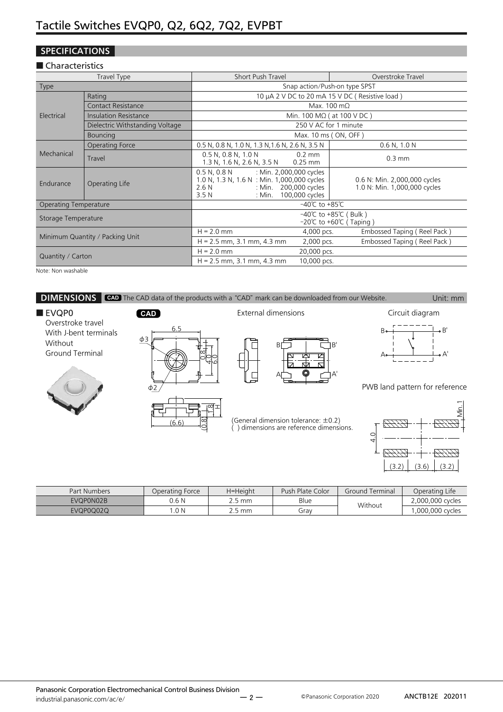### **SPECIFICATIONS**

### ■ Characteristics

|                              | Travel Type                     | <b>Short Push Travel</b>                                                                                                                                                                 | Overstroke Travel                                            |  |  |  |  |
|------------------------------|---------------------------------|------------------------------------------------------------------------------------------------------------------------------------------------------------------------------------------|--------------------------------------------------------------|--|--|--|--|
| Type                         |                                 |                                                                                                                                                                                          | Snap action/Push-on type SPST                                |  |  |  |  |
|                              | Rating                          |                                                                                                                                                                                          | 10 µA 2 V DC to 20 mA 15 V DC (Resistive load)               |  |  |  |  |
|                              | <b>Contact Resistance</b>       | Max. 100 m $\Omega$                                                                                                                                                                      |                                                              |  |  |  |  |
| Electrical                   | Insulation Resistance           |                                                                                                                                                                                          | Min. 100 M $\Omega$ ( at 100 V DC )                          |  |  |  |  |
|                              | Dielectric Withstanding Voltage |                                                                                                                                                                                          | 250 V AC for 1 minute                                        |  |  |  |  |
|                              | <b>Bouncing</b>                 |                                                                                                                                                                                          | Max. 10 ms (ON, OFF)                                         |  |  |  |  |
|                              | Operating Force                 | 0.5 N, 0.8 N, 1.0 N, 1.3 N, 1.6 N, 2.6 N, 3.5 N                                                                                                                                          | $0.6$ N, $1.0$ N                                             |  |  |  |  |
| Mechanical                   | Travel                          | 0.5 N, 0.8 N, 1.0 N<br>$0.2$ mm<br>1.3 N, 1.6 N, 2.6 N, 3.5 N<br>$0.25$ mm                                                                                                               | $0.3 \text{ mm}$                                             |  |  |  |  |
| Endurance                    | Operating Life                  | : Min. 2,000,000 cycles<br>$0.5$ N, $0.8$ N<br>1.0 N, 1.3 N, 1.6 N : Min. 1,000,000 cycles<br>: Min. 200,000 cycles<br>2.6N<br>100,000 cycles<br>3.5N<br>: Min. $\overline{\phantom{a}}$ | 0.6 N: Min. 2,000,000 cycles<br>1.0 N: Min. 1,000,000 cycles |  |  |  |  |
| <b>Operating Temperature</b> |                                 | $-40^{\circ}$ C to +85 $^{\circ}$ C                                                                                                                                                      |                                                              |  |  |  |  |
| Storage Temperature          |                                 |                                                                                                                                                                                          | -40°C to +85°C (Bulk)<br>-20℃ to +60℃ (Taping)               |  |  |  |  |
|                              |                                 | $H = 2.0$ mm<br>4,000 pcs.                                                                                                                                                               | Embossed Taping (Reel Pack)                                  |  |  |  |  |
|                              | Minimum Quantity / Packing Unit | $H = 2.5$ mm, 3.1 mm, 4.3 mm<br>2,000 pcs.                                                                                                                                               | Embossed Taping (Reel Pack)                                  |  |  |  |  |
| Quantity / Carton            |                                 | $H = 2.0$ mm<br>20,000 pcs.                                                                                                                                                              |                                                              |  |  |  |  |
|                              |                                 | $H = 2.5$ mm, 3.1 mm, 4.3 mm<br>10,000 pcs.                                                                                                                                              |                                                              |  |  |  |  |

Note: Non washable



| <b>Part Numbers</b> | Operating Force |        | Push Plate Color | Ground Terminal | Operating Life   |  |
|---------------------|-----------------|--------|------------------|-----------------|------------------|--|
| EVQP0N02B           | 0.6 N           | ` 5 mm | Blue             | Without         | 2,000,000 cycles |  |
| EVQP0Q02Q           | .0 N            | 2.5 mm | Grav             |                 | ,000,000 cycles  |  |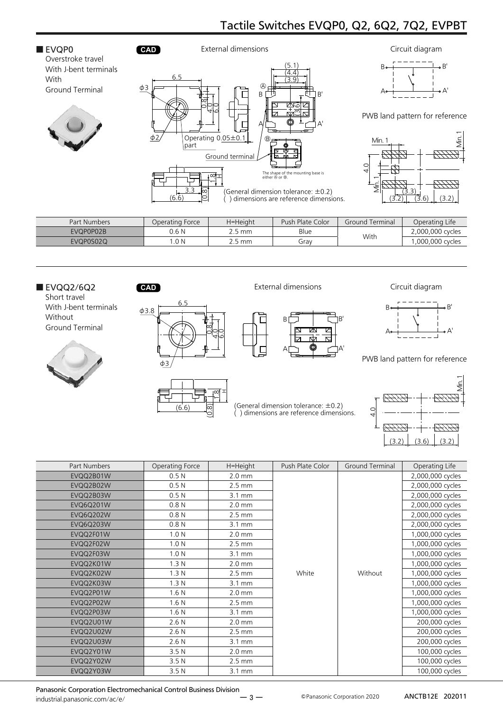

| Part Numbers | Operating Force | H=Height         | Push Plate Color | Ground Terminal | Operating Life    |
|--------------|-----------------|------------------|------------------|-----------------|-------------------|
| EVQP0P02B    | 0.6 N           | $2.5 \text{ mm}$ | Blue             |                 | 2.000.000 cycles  |
| EVQP0S02Q    | .0 N            | 2.5 mm           | Grav             | With            | .000,000 cycles), |
|              |                 |                  |                  |                 |                   |

### ■ EVQQ2/6Q2 **CAD**

Short travel With J-bent terminals Without Ground Terminal





External dimensions Circuit diagram

(General dimension tolerance: ±0.2) ( ) dimensions are reference dimensions.

B A B' A'





PWB land pattern for reference



| Part Numbers     | Operating Force  | H=Height         | Push Plate Color | Ground Terminal | Operating Life   |
|------------------|------------------|------------------|------------------|-----------------|------------------|
| EVQQ2B01W        | 0.5 <sub>N</sub> | $2.0 \text{ mm}$ |                  |                 | 2,000,000 cycles |
| EVQQ2B02W        | 0.5 <sub>N</sub> | $2.5 \text{ mm}$ |                  |                 | 2,000,000 cycles |
| EVQQ2B03W        | 0.5 <sub>N</sub> | $3.1 \text{ mm}$ |                  |                 | 2,000,000 cycles |
| <b>EVQ6Q201W</b> | 0.8 <sub>N</sub> | $2.0$ mm         |                  |                 | 2,000,000 cycles |
| <b>EVQ6Q202W</b> | 0.8 <sub>N</sub> | $2.5 \text{ mm}$ |                  |                 | 2,000,000 cycles |
| <b>EVQ6Q203W</b> | 0.8 <sub>N</sub> | $3.1 \text{ mm}$ |                  |                 | 2,000,000 cycles |
| EVQQ2F01W        | 1.0 <sub>N</sub> | $2.0$ mm         |                  |                 | 1,000,000 cycles |
| EVQQ2F02W        | 1.0 <sub>N</sub> | $2.5 \text{ mm}$ |                  |                 | 1,000,000 cycles |
| EVQQ2F03W        | 1.0 <sub>N</sub> | $3.1 \text{ mm}$ |                  |                 | 1,000,000 cycles |
| EVQQ2K01W        | 1.3 <sub>N</sub> | $2.0 \text{ mm}$ |                  | Without         | 1,000,000 cycles |
| EVQQ2K02W        | 1.3 <sub>N</sub> | $2.5 \text{ mm}$ | White            |                 | 1,000,000 cycles |
| EVQQ2K03W        | 1.3 <sub>N</sub> | $3.1 \text{ mm}$ |                  |                 | 1,000,000 cycles |
| EVQQ2P01W        | 1.6 <sub>N</sub> | $2.0 \text{ mm}$ |                  |                 | 1,000,000 cycles |
| EVQQ2P02W        | 1.6 <sub>N</sub> | $2.5 \text{ mm}$ |                  |                 | 1,000,000 cycles |
| EVQQ2P03W        | 1.6 <sub>N</sub> | $3.1 \text{ mm}$ |                  |                 | 1,000,000 cycles |
| EVQQ2U01W        | 2.6N             | $2.0 \text{ mm}$ |                  |                 | 200,000 cycles   |
| EVQQ2U02W        | 2.6N             | $2.5 \text{ mm}$ |                  |                 | 200,000 cycles   |
| EVQQ2U03W        | 2.6N             | $3.1 \text{ mm}$ |                  |                 | 200,000 cycles   |
| EVQQ2Y01W        | 3.5 <sub>N</sub> | $2.0 \text{ mm}$ |                  |                 | 100,000 cycles   |
| EVQQ2Y02W        | 3.5 <sub>N</sub> | $2.5 \text{ mm}$ |                  |                 | 100,000 cycles   |
| EVQQ2Y03W        | 3.5 <sub>N</sub> | $3.1 \text{ mm}$ |                  |                 | 100,000 cycles   |

Panasonic Corporation Electromechanical Control Business Division industrial.panasonic.com/ac/e/

ー 3 ー

Panasonic Corporation 2020 ANCTB12E 202011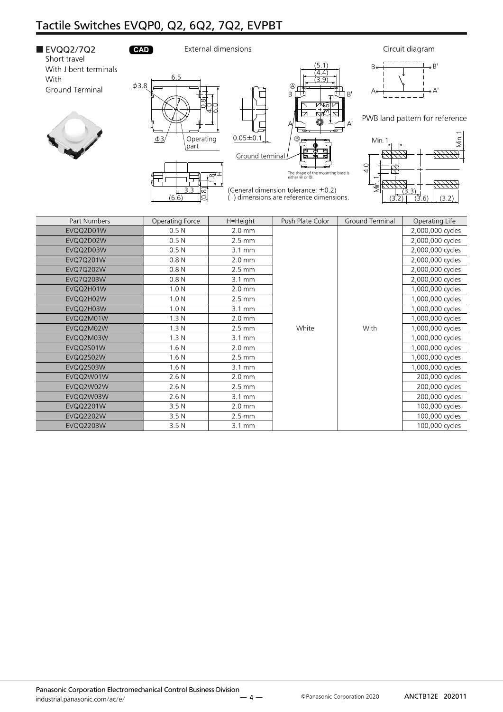

EVQQ2M01W 1.3 N 2.0 mm 1,000,000 cycles EVQQ2M02W 1.3 N 2.5 mm White With 1,000,000 cycles EVQQ2M03W 1.3 N 3.1 mm 3.1 mm 1,000,000 cycles EVQQ2S01W 1.6 N 2.0 mm | 2.0 mm | 1,000,000 cycles EVQQ2S02W 1.6 N 2.5 mm 1,000,000 cycles EVQQ2S03W 1.6 N 3.1 mm 2, 1,000,000 cycles EVQQ2W01W 2.6 N 2.6 N 2.0 mm 2.0 mm 200,000 cycles EVQQ2W02W 2.6 N 2.6 N 2.5 mm 2.5 mm 2.5 mm 2.5 mm 2.5 mm 2.6 N 200,000 cycles EVQQ2W03W 2.6 N 3.1 mm 200,000 cycles EVQQ2201W 3.5 N 2.0 mm 100,000 cycles EVQQ2202W 3.5 N 2.5 mm 2.5 mm 100,000 cycles EVQQ2203W 3.5 N 3.1 mm 3.1 mm 100,000 cycles

White | With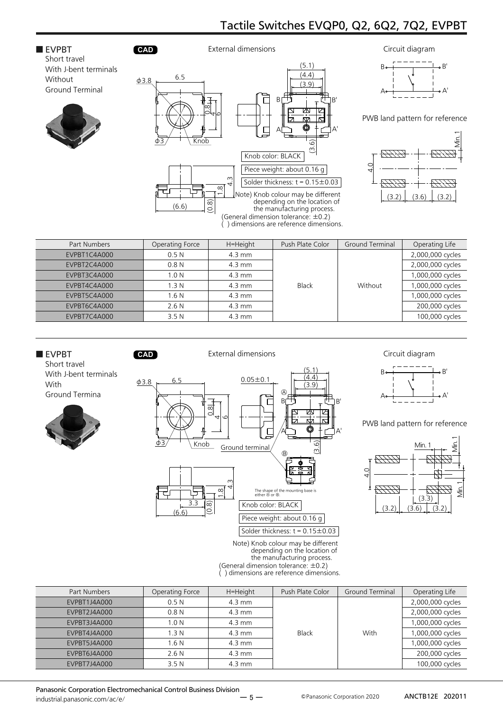### ■ EVPBT **CAD** Short travel With J-bent terminals Without Ground Terminal







PWB land pattern for reference



| Part Numbers | Operating Force  | H=Height         | Push Plate Color | <b>Ground Terminal</b> | Operating Life   |
|--------------|------------------|------------------|------------------|------------------------|------------------|
| EVPBT1C4A000 | 0.5N             | $4.3 \text{ mm}$ |                  |                        | 2,000,000 cycles |
| EVPBT2C4A000 | 0.8N             | $4.3 \text{ mm}$ |                  |                        | 2,000,000 cycles |
| EVPBT3C4A000 | 1.0 <sub>N</sub> | $4.3 \text{ mm}$ |                  |                        | 1,000,000 cycles |
| EVPBT4C4A000 | 1.3 <sub>N</sub> | $4.3 \text{ mm}$ | Black            | Without                | 1,000,000 cycles |
| EVPBT5C4A000 | 1.6 <sub>N</sub> | $4.3 \text{ mm}$ |                  |                        | 1,000,000 cycles |
| EVPBT6C4A000 | 2.6N             | $4.3 \text{ mm}$ |                  |                        | 200,000 cycles   |
| EVPBT7C4A000 | 3.5N             | $4.3 \text{ mm}$ |                  |                        | 100,000 cycles   |



| Part Numbers | Operating Force  | H=Height         | Push Plate Color | Ground Terminal | Operating Life   |
|--------------|------------------|------------------|------------------|-----------------|------------------|
| EVPBT1J4A000 | 0.5N             | $4.3 \text{ mm}$ |                  |                 | 2,000,000 cycles |
| EVPBT2J4A000 | 0.8N             | $4.3 \text{ mm}$ |                  |                 | 2,000,000 cycles |
| EVPBT3J4A000 | 1.0 <sub>N</sub> | $4.3 \text{ mm}$ |                  |                 | 1,000,000 cycles |
| EVPBT4J4A000 | 1.3 <sub>N</sub> | $4.3 \text{ mm}$ | <b>Black</b>     | With            | 1,000,000 cycles |
| EVPBT5J4A000 | 1.6 <sub>N</sub> | $4.3 \text{ mm}$ |                  |                 | 1,000,000 cycles |
| EVPBT6J4A000 | 2.6N             | $4.3 \text{ mm}$ |                  |                 | 200,000 cycles   |
| EVPBT7J4A000 | 3.5N             | $4.3 \text{ mm}$ |                  |                 | 100,000 cycles   |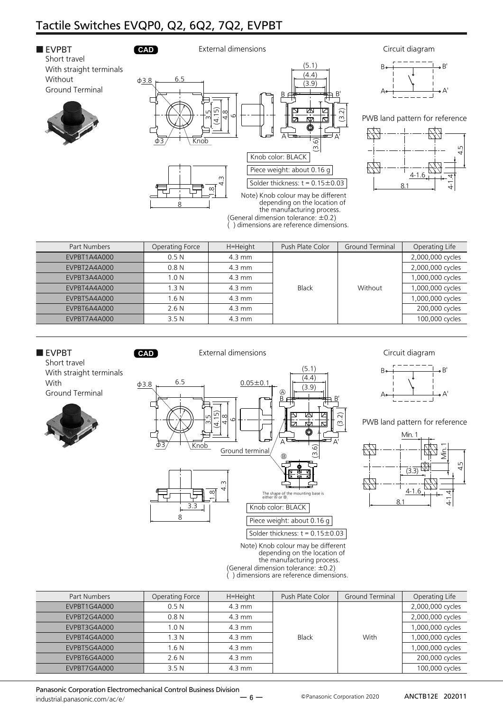

| Part Numbers | Operating Force  | H=Height         | Push Plate Color        | Ground Terminal | Operating Life   |
|--------------|------------------|------------------|-------------------------|-----------------|------------------|
| EVPBT1A4A000 | 0.5N             | $4.3 \text{ mm}$ |                         |                 | 2,000,000 cycles |
| EVPBT2A4A000 | 0.8 <sub>N</sub> | $4.3 \text{ mm}$ |                         |                 | 2,000,000 cycles |
| EVPBT3A4A000 | 1.0 <sub>N</sub> | $4.3 \text{ mm}$ |                         |                 | 1,000,000 cycles |
| EVPBT4A4A000 | 1.3 <sub>N</sub> | $4.3 \text{ mm}$ | <b>Black</b><br>Without |                 | 1,000,000 cycles |
| EVPBT5A4A000 | 1.6N             | $4.3 \text{ mm}$ |                         |                 | 1,000,000 cycles |
| EVPBT6A4A000 | 2.6N             | $4.3 \text{ mm}$ |                         |                 | 200,000 cycles   |
| EVPBT7A4A000 | 3.5N             | $4.3 \text{ mm}$ |                         |                 | 100,000 cycles   |



(General dimension tolerance: ±0.2) ( ) dimensions are reference dimensions.

| Part Numbers | Operating Force  | H=Height         | Push Plate Color | Ground Terminal | Operating Life   |
|--------------|------------------|------------------|------------------|-----------------|------------------|
| EVPBT1G4A000 | 0.5N             | $4.3 \text{ mm}$ |                  |                 | 2,000,000 cycles |
| EVPBT2G4A000 | 0.8 <sub>N</sub> | $4.3 \text{ mm}$ |                  |                 | 2,000,000 cycles |
| EVPBT3G4A000 | 1.0 <sub>N</sub> | $4.3 \text{ mm}$ |                  |                 | 1,000,000 cycles |
| EVPBT4G4A000 | 1.3 <sub>N</sub> | $4.3 \text{ mm}$ | Black            | With            |                  |
| EVPBT5G4A000 | 1.6 <sub>N</sub> | $4.3 \text{ mm}$ |                  |                 | 1,000,000 cycles |
| EVPBT6G4A000 | 2.6N             | $4.3 \text{ mm}$ |                  |                 | 200,000 cycles   |
| EVPBT7G4A000 | 3.5 <sub>N</sub> | $4.3 \text{ mm}$ |                  |                 | 100,000 cycles   |

Panasonic Corporation Electromechanical Control Business Division industrial.panasonic.com/ac/e/

Panasonic Corporation 2020 ANCTB12E 202011

Min

B

A

 $(3)$ 

4-1.6

8.1

4.5

4-1.4

Min. 1

B'

 $\forall$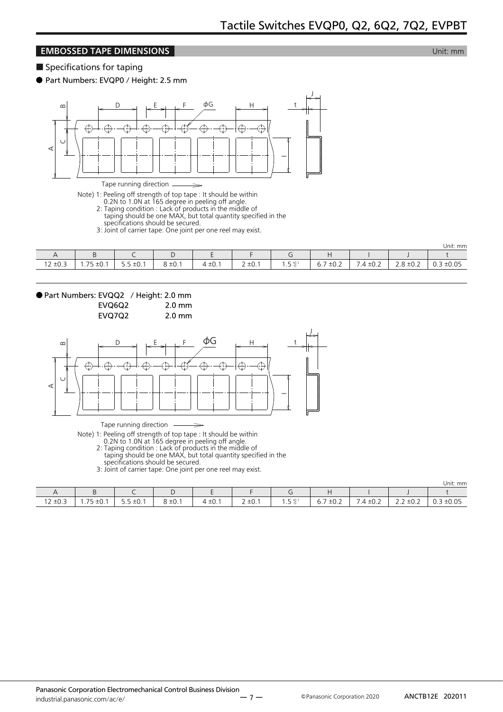### **EMBOSSED TAPE DIMENSIONS EMBOSSED TAPE DIMENSIONS**

■ Specifications for taping

● Part Numbers: EVQP0 / Height: 2.5 mm



Tape running direction

Note) 1: Peeling off strength of top tape : It should be within

0.2N to 1.0N at 165 degree in peeling off angle.

- 2: Taping condition : Lack of products in the middle of
- taping should be one MAX, but total quantity specified in the specifications should be secured.

3: Joint of carrier tape: One joint per one reel may exist.

|              |                          |                                                    |                  |                       |                                          |                  |                                                         |                     |                                      | Unit: mm                         |
|--------------|--------------------------|----------------------------------------------------|------------------|-----------------------|------------------------------------------|------------------|---------------------------------------------------------|---------------------|--------------------------------------|----------------------------------|
|              |                          |                                                    | ັ                |                       |                                          |                  |                                                         |                     |                                      |                                  |
| $12 \pm 0.3$ | フロ<br>±0.1<br>. . 1<br>- | $\overline{a}$<br>$\cdot$ $\sim$<br>±U. I<br>ر . ر | $\sim$<br>3 ±0.1 | ±0.1<br>$\rightarrow$ | $\sim$<br>$\cdot$ $\sim$<br>$\prime$ ±0. | $E + 0.1$<br>ر . | $\overline{\phantom{a}}$<br>$\sim$ $\sim$<br>O.<br>±∪.∠ | $\sim$<br>4<br>–∪.∠ | $\cdot$ $\sim$ $\sim$<br>±∪.∠<br>ے ۔ | $-0.05$<br>、⊥∪.∪ <i>→</i><br>◡.◡ |



EVQ7Q2 2.0 mm



Tape running direction

Note) 1: Peeling off strength of top tape : It should be within

0.2N to 1.0N at 165 degree in peeling off angle.

 2: Taping condition : Lack of products in the middle of taping should be one MAX, but total quantity specified in the

 $\overline{\phantom{0}}$ 

specifications should be secured.

3: Joint of carrier tape: One joint per one reel may exist.

|                                                   |                                                                        |                                                  |                      |                           |           |                          |                                                                                              |                                                                                 |                                                                                                   | Unit: mm                                        |
|---------------------------------------------------|------------------------------------------------------------------------|--------------------------------------------------|----------------------|---------------------------|-----------|--------------------------|----------------------------------------------------------------------------------------------|---------------------------------------------------------------------------------|---------------------------------------------------------------------------------------------------|-------------------------------------------------|
|                                                   |                                                                        |                                                  |                      |                           |           |                          |                                                                                              |                                                                                 |                                                                                                   |                                                 |
| $12 \pm 0.3$<br>the control of the control of the | $\overline{\phantom{a}}$<br>$\sim$<br>≧±U.<br>$\overline{\phantom{0}}$ | $5.5 \pm 0.1$<br>the contract of the contract of | $\circ$ .<br>8 ± 0.1 | $\cdot$ $\sim$<br>4 IU. . | $2 + 0.1$ | $E + 0.1$<br>$-1$<br>ر . | $\overline{\phantom{a}}$<br>$\cdot$ $\sim$ $\sim$<br>o.,<br>±∪.∠<br>the contract of the con- | $\sim$ $\sim$<br>-<br>$\overline{4}$<br>±U.Z<br>the contract of the contract of | ±0.2<br>$\overline{\phantom{0}}$<br>∽<br>ے . د<br>the contract of the contract of the contract of | ±0.05<br>◡.◡<br>the contract of the contract of |

Panasonic Corporation 2020 ANCTB12E 202011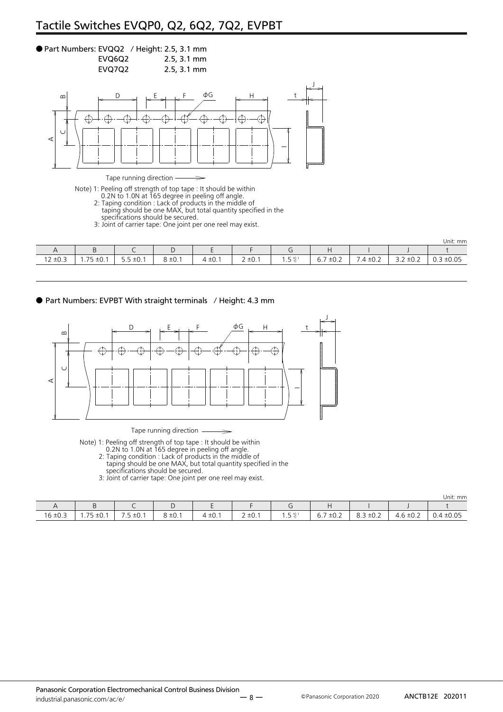### ● Part Numbers: EVQQ2 / Height: 2.5, 3.1 mm EVQ6Q2 2.5, 3.1 mm

EVQ7Q2 2.5, 3.1 mm



Tape running direction

Note) 1: Peeling off strength of top tape : It should be within

0.2N to 1.0N at 165 degree in peeling off angle.

- 2: Taping condition : Lack of products in the middle of
- taping should be one MAX, but total quantity specified in the specifications should be secured.

 $\Rightarrow$ 

3: Joint of carrier tape: One joint per one reel may exist.

|                                                                     |                                                |                                                                     |                                         |                          |                                  |                 |                                                                     |                                                  |                                                                                                                           | Unit: mm                                                       |
|---------------------------------------------------------------------|------------------------------------------------|---------------------------------------------------------------------|-----------------------------------------|--------------------------|----------------------------------|-----------------|---------------------------------------------------------------------|--------------------------------------------------|---------------------------------------------------------------------------------------------------------------------------|----------------------------------------------------------------|
|                                                                     | -<br>◡                                         |                                                                     |                                         |                          |                                  |                 |                                                                     |                                                  |                                                                                                                           |                                                                |
| $\sim$<br>$\cdot$ $\sim$ $\sim$<br>د.∪∸<br>$\overline{\phantom{a}}$ | $\overline{\phantom{a}}$<br>$\sim$<br>∸∪.<br>. | $ -$<br>$\sim$<br>$+0.1$<br><br>the contract of the contract of the | $\sim$<br>$\sim$<br><b>+</b><br>، ∴ ب ∸ | $\sim$<br>$1 -$<br>∸∪. ⊺ | -<br><b>+</b><br>∸∪.<br><u>_</u> | $-40$<br>-<br>. | -<br>-<br>$\sim$<br>$-0.4$<br>◡.<br>the contract of the contract of | -<br>∟…∪∸<br>the contract of the contract of the | $\sim$<br>-<br>$\overline{\phantom{0}}$<br>$\overline{\phantom{a}}$<br>∸∪.∠<br><u></u><br>the contract of the contract of | $\sim$ $\sim$<br>$-0.05$<br>◡.◡<br>and the control of the con- |

● Part Numbers: EVPBT With straight terminals / Height: 4.3 mm



Tape running direction  $\overline{\phantom{0}}$ 

Note) 1: Peeling off strength of top tape : It should be within

0.2N to 1.0N at 165 degree in peeling off angle.

- 2: Taping condition : Lack of products in the middle of taping should be one MAX, but total quantity specified in the
- specifications should be secured.

3: Joint of carrier tape: One joint per one reel may exist.

Unit: mm

|          |                                                                |                              |                                                         |                          |                           |                |                                         |                              |                                      | UIIIU. IIIII                  |
|----------|----------------------------------------------------------------|------------------------------|---------------------------------------------------------|--------------------------|---------------------------|----------------|-----------------------------------------|------------------------------|--------------------------------------|-------------------------------|
|          |                                                                |                              | ı                                                       |                          |                           |                | . .                                     |                              |                                      |                               |
| 16 ± 0.5 | $\overline{\phantom{a}}$<br>$\pm 0.1$<br>$\cdot$ $\prime$<br>ັ | $-$<br>$\sim$<br>±0.1<br>. ب | $\overline{\phantom{0}}$<br>ິ<br>$\rightarrow$<br>ŏ ≖∪. | $\sim$ $\sim$<br>. ب∪ـ"4 | $\cdot$ $\sim$<br>∠ ±∪. I | $F + 0.1$<br>. | $\overline{\phantom{a}}$<br>±0.2<br>υ., | $\sim$ $\sim$<br>±∪.∠<br>0.J | $\overline{\phantom{0}}$<br>4.6 ±∪.∠ | $\sim$ $\sim$<br>0.4<br>∸∪.∪J |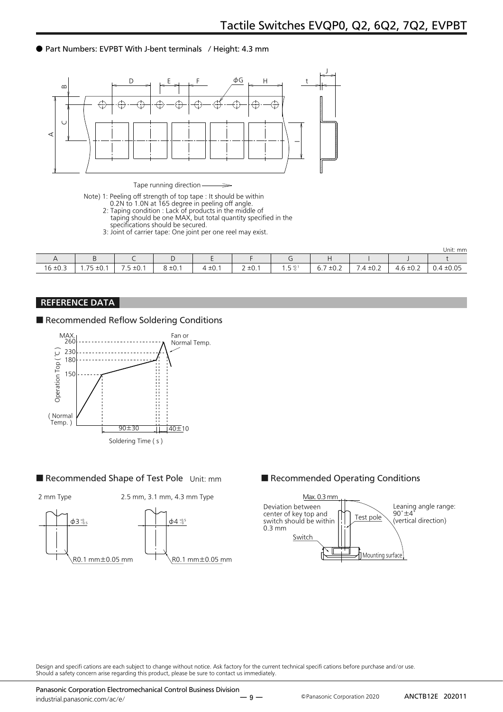### ● Part Numbers: EVPBT With J-bent terminals / Height: 4.3 mm



Tape running direction

- Note) 1: Peeling off strength of top tape : It should be within
- 0.2N to 1.0N at 165 degree in peeling off angle.
- 2: Taping condition : Lack of products in the middle of taping should be one MAX, but total quantity specified in the
	- specifications should be secured.
	- 3: Joint of carrier tape: One joint per one reel may exist.

|              |                                                              |                          |             |         |                                  |                          |                                         |              |                                            | Unit: mm     |
|--------------|--------------------------------------------------------------|--------------------------|-------------|---------|----------------------------------|--------------------------|-----------------------------------------|--------------|--------------------------------------------|--------------|
| $\cdot$      |                                                              |                          | ı           | -       |                                  |                          |                                         |              |                                            |              |
| $16 \pm 0.3$ | $\overline{\phantom{a}}$<br>$\sim$<br>±∪. I<br>$\cdots$<br>ے | $\sqrt{2}$<br>±∪. I<br>. | $8 \pm 0.1$ | 4 ± 0.1 | $\sim$ $\sim$<br>≖∪.<br><u>.</u> | $F + 0.1$<br>$-0$<br>. - | $\overline{\phantom{0}}$<br>±0.2<br>6.7 | $.4 \pm 0.2$ | 5 ± 0.2<br>$\overline{\phantom{0}}$<br>⊤.∪ | ±0.05<br>V.4 |

### REFERENCE DATA

### ■ Recommended Reflow Soldering Conditions



### ■ Recommended Shape of Test Pole Unit: mm ■ Recommended Operating Conditions





Design and specifi cations are each subject to change without notice. Ask factory for the current technical specifi cations before purchase and/or use. Should a safety concern arise regarding this product, please be sure to contact us immediately.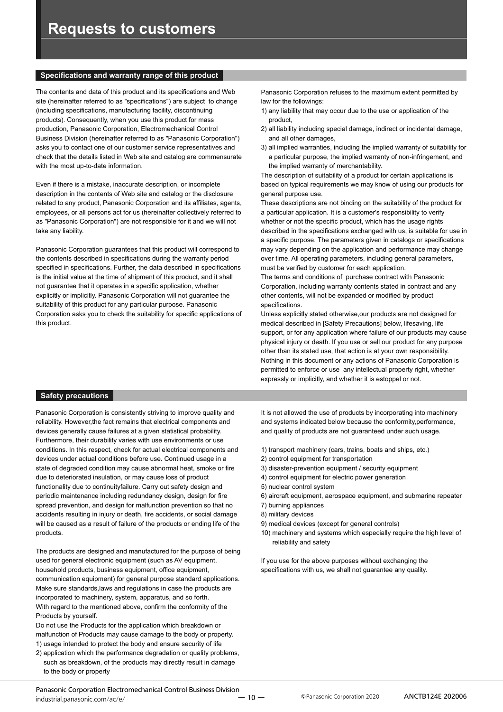### **Specifications and warranty range of this product**

The contents and data of this product and its specifications and Web site (hereinafter referred to as "specifications") are subject to change (including specifications, manufacturing facility, discontinuing products). Consequently, when you use this product for mass production, Panasonic Corporation, Electromechanical Control Business Division (hereinafter referred to as "Panasonic Corporation") asks you to contact one of our customer service representatives and check that the details listed in Web site and catalog are commensurate with the most up-to-date information.

Even if there is a mistake, inaccurate description, or incomplete description in the contents of Web site and catalog or the disclosure related to any product, Panasonic Corporation and its affiliates, agents, employees, or all persons act for us (hereinafter collectively referred to as "Panasonic Corporation") are not responsible for it and we will not take any liability.

Panasonic Corporation guarantees that this product will correspond to the contents described in specifications during the warranty period specified in specifications. Further, the data described in specifications is the initial value at the time of shipment of this product, and it shall not guarantee that it operates in a specific application, whether explicitly or implicitly. Panasonic Corporation will not guarantee the suitability of this product for any particular purpose. Panasonic Corporation asks you to check the suitability for specific applications of this product.

Panasonic Corporation refuses to the maximum extent permitted by law for the followings:

- 1) any liability that may occur due to the use or application of the product,
- 2) all liability including special damage, indirect or incidental damage, and all other damages,
- 3) all implied warranties, including the implied warranty of suitability for a particular purpose, the implied warranty of non-infringement, and the implied warranty of merchantability.

The description of suitability of a product for certain applications is based on typical requirements we may know of using our products for general purpose use.

These descriptions are not binding on the suitability of the product for a particular application. It is a customer's responsibility to verify whether or not the specific product, which has the usage rights described in the specifications exchanged with us, is suitable for use in a specific purpose. The parameters given in catalogs or specifications may vary depending on the application and performance may change over time. All operating parameters, including general parameters, must be verified by customer for each application.

The terms and conditions of purchase contract with Panasonic Corporation, including warranty contents stated in contract and any other contents, will not be expanded or modified by product specifications.

Unless explicitly stated otherwise,our products are not designed for medical described in [Safety Precautions] below, lifesaving, life support, or for any application where failure of our products may cause physical injury or death. If you use or sell our product for any purpose other than its stated use, that action is at your own responsibility. Nothing in this document or any actions of Panasonic Corporation is permitted to enforce or use any intellectual property right, whether expressly or implicitly, and whether it is estoppel or not.

### **Safety precautions**

Panasonic Corporation is consistently striving to improve quality and reliability. However,the fact remains that electrical components and devices generally cause failures at a given statistical probability. Furthermore, their durability varies with use environments or use conditions. In this respect, check for actual electrical components and devices under actual conditions before use. Continued usage in a state of degraded condition may cause abnormal heat, smoke or fire due to deteriorated insulation, or may cause loss of product functionality due to continuityfailure. Carry out safety design and periodic maintenance including redundancy design, design for fire spread prevention, and design for malfunction prevention so that no accidents resulting in injury or death, fire accidents, or social damage will be caused as a result of failure of the products or ending life of the products.

The products are designed and manufactured for the purpose of being used for general electronic equipment (such as AV equipment, household products, business equipment, office equipment, communication equipment) for general purpose standard applications. Make sure standards,laws and regulations in case the products are incorporated to machinery, system, apparatus, and so forth. With regard to the mentioned above, confirm the conformity of the Products by yourself.

Do not use the Products for the application which breakdown or malfunction of Products may cause damage to the body or property. 1) usage intended to protect the body and ensure security of life

2) application which the performance degradation or quality problems, such as breakdown, of the products may directly result in damage to the body or property

It is not allowed the use of products by incorporating into machinery and systems indicated below because the conformity,performance, and quality of products are not guaranteed under such usage.

- 1) transport machinery (cars, trains, boats and ships, etc.)
- 2) control equipment for transportation
- 3) disaster-prevention equipment / security equipment
- 4) control equipment for electric power generation
- 5) nuclear control system
- 6) aircraft equipment, aerospace equipment, and submarine repeater
- 7) burning appliances
- 8) military devices
- 9) medical devices (except for general controls)
- 10) machinery and systems which especially require the high level of reliability and safety

If you use for the above purposes without exchanging the specifications with us, we shall not guarantee any quality.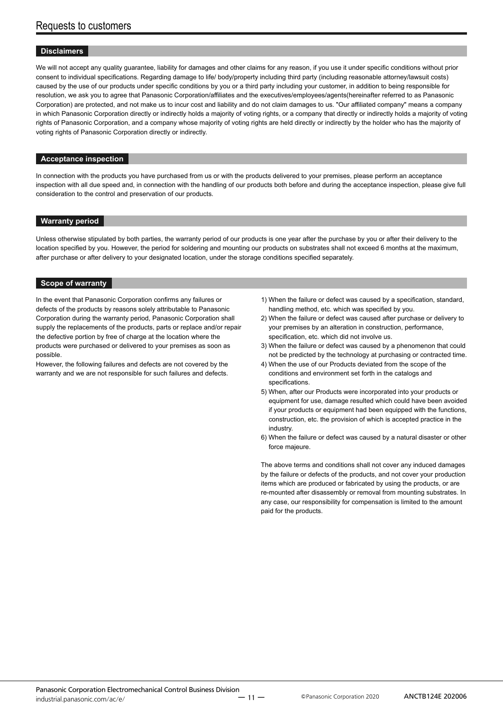### **Disclaimers**

We will not accept any quality guarantee, liability for damages and other claims for any reason, if you use it under specific conditions without prior consent to individual specifications. Regarding damage to life/ body/property including third party (including reasonable attorney/lawsuit costs) caused by the use of our products under specific conditions by you or a third party including your customer, in addition to being responsible for resolution, we ask you to agree that Panasonic Corporation/affiliates and the executives/employees/agents(hereinafter referred to as Panasonic Corporation) are protected, and not make us to incur cost and liability and do not claim damages to us. "Our affiliated company" means a company in which Panasonic Corporation directly or indirectly holds a majority of voting rights, or a company that directly or indirectly holds a majority of voting rights of Panasonic Corporation, and a company whose majority of voting rights are held directly or indirectly by the holder who has the majority of voting rights of Panasonic Corporation directly or indirectly.

### **Acceptance inspection**

In connection with the products you have purchased from us or with the products delivered to your premises, please perform an acceptance inspection with all due speed and, in connection with the handling of our products both before and during the acceptance inspection, please give full consideration to the control and preservation of our products.

### **Warranty period**

Unless otherwise stipulated by both parties, the warranty period of our products is one year after the purchase by you or after their delivery to the location specified by you. However, the period for soldering and mounting our products on substrates shall not exceed 6 months at the maximum, after purchase or after delivery to your designated location, under the storage conditions specified separately.

### **Scope of warranty**

In the event that Panasonic Corporation confirms any failures or defects of the products by reasons solely attributable to Panasonic Corporation during the warranty period, Panasonic Corporation shall supply the replacements of the products, parts or replace and/or repair the defective portion by free of charge at the location where the products were purchased or delivered to your premises as soon as possible.

However, the following failures and defects are not covered by the warranty and we are not responsible for such failures and defects.

- 1) When the failure or defect was caused by a specification, standard, handling method, etc. which was specified by you.
- 2) When the failure or defect was caused after purchase or delivery to your premises by an alteration in construction, performance, specification, etc. which did not involve us.
- 3) When the failure or defect was caused by a phenomenon that could not be predicted by the technology at purchasing or contracted time.
- 4) When the use of our Products deviated from the scope of the conditions and environment set forth in the catalogs and specifications.
- 5) When, after our Products were incorporated into your products or equipment for use, damage resulted which could have been avoided if your products or equipment had been equipped with the functions, construction, etc. the provision of which is accepted practice in the industry.
- 6) When the failure or defect was caused by a natural disaster or other force majeure.

The above terms and conditions shall not cover any induced damages by the failure or defects of the products, and not cover your production items which are produced or fabricated by using the products, or are re-mounted after disassembly or removal from mounting substrates. In any case, our responsibility for compensation is limited to the amount paid for the products.

Panasonic Corporation 2020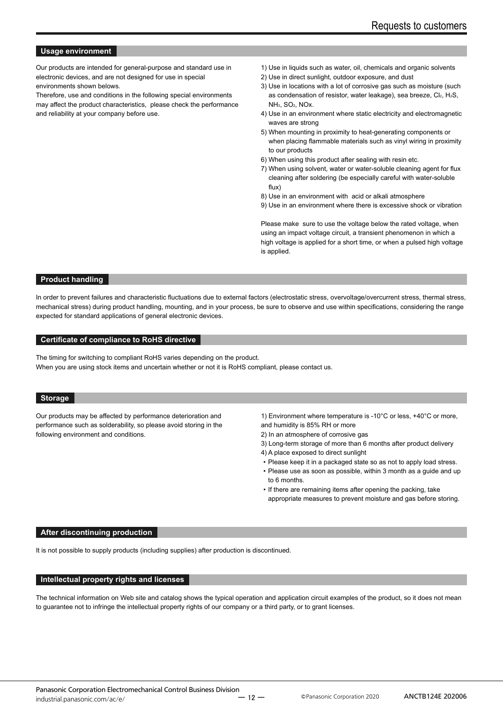### **Usage environment**

Our products are intended for general-purpose and standard use in electronic devices, and are not designed for use in special environments shown belows.

Therefore, use and conditions in the following special environments may affect the product characteristics, please check the performance and reliability at your company before use.

- 1) Use in liquids such as water, oil, chemicals and organic solvents
- 2) Use in direct sunlight, outdoor exposure, and dust
- 3) Use in locations with a lot of corrosive gas such as moisture (such as condensation of resistor, water leakage), sea breeze, Cl2, H2S, NH3, SO2, NOx.
- 4) Use in an environment where static electricity and electromagnetic waves are strong
- 5) When mounting in proximity to heat-generating components or when placing flammable materials such as vinyl wiring in proximity to our products
- 6) When using this product after sealing with resin etc.
- 7) When using solvent, water or water-soluble cleaning agent for flux cleaning after soldering (be especially careful with water-soluble flux)
- 8) Use in an environment with acid or alkali atmosphere
- 9) Use in an environment where there is excessive shock or vibration

Please make sure to use the voltage below the rated voltage, when using an impact voltage circuit, a transient phenomenon in which a high voltage is applied for a short time, or when a pulsed high voltage is applied.

### **Product handling**

In order to prevent failures and characteristic fluctuations due to external factors (electrostatic stress, overvoltage/overcurrent stress, thermal stress, mechanical stress) during product handling, mounting, and in your process, be sure to observe and use within specifications, considering the range expected for standard applications of general electronic devices.

### **Certificate of compliance to RoHS directive**

The timing for switching to compliant RoHS varies depending on the product. When you are using stock items and uncertain whether or not it is RoHS compliant, please contact us.

### **Storage**

Our products may be affected by performance deterioration and performance such as solderability, so please avoid storing in the following environment and conditions.

1) Environment where temperature is -10°C or less, +40°C or more, and humidity is 85% RH or more

- 2) In an atmosphere of corrosive gas
- 3) Long-term storage of more than 6 months after product delivery
- 4) A place exposed to direct sunlight
- Please keep it in a packaged state so as not to apply load stress.
- Please use as soon as possible, within 3 month as a guide and up to 6 months.
- If there are remaining items after opening the packing, take appropriate measures to prevent moisture and gas before storing.

### **After discontinuing production**

It is not possible to supply products (including supplies) after production is discontinued.

### **Intellectual property rights and licenses**

The technical information on Web site and catalog shows the typical operation and application circuit examples of the product, so it does not mean to guarantee not to infringe the intellectual property rights of our company or a third party, or to grant licenses.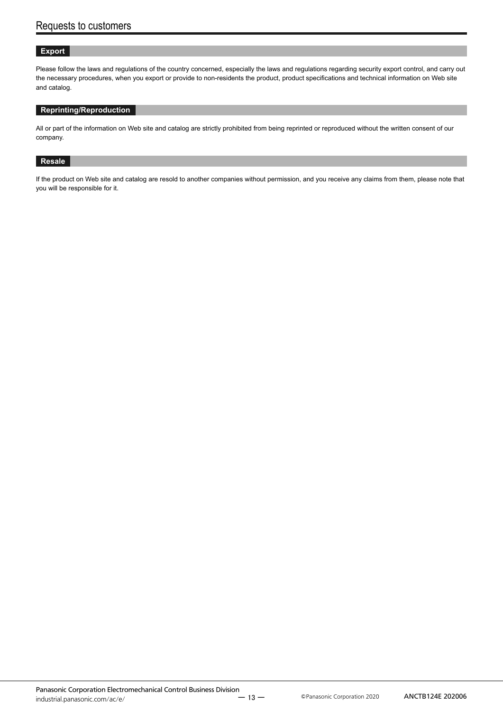### **Export**

Please follow the laws and regulations of the country concerned, especially the laws and regulations regarding security export control, and carry out the necessary procedures, when you export or provide to non-residents the product, product specifications and technical information on Web site and catalog.

### **Reprinting/Reproduction**

All or part of the information on Web site and catalog are strictly prohibited from being reprinted or reproduced without the written consent of our company.

### **Resale**

If the product on Web site and catalog are resold to another companies without permission, and you receive any claims from them, please note that you will be responsible for it.